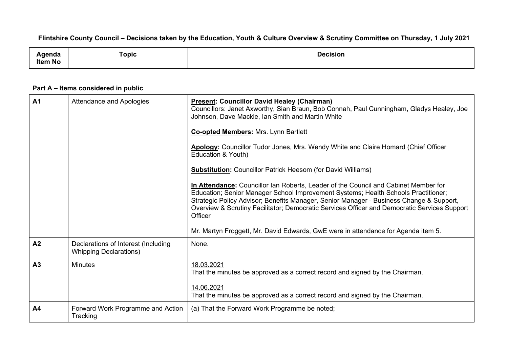## Flintshire County Council - Decisions taken by the Education, Youth & Culture Overview & Scrutiny Committee on Thursday, 1 July 2021

| нис            | $\frac{1}{2} \left( \frac{1}{2} \right) \left( \frac{1}{2} \right) \left( \frac{1}{2} \right) \left( \frac{1}{2} \right) \left( \frac{1}{2} \right) \left( \frac{1}{2} \right) \left( \frac{1}{2} \right) \left( \frac{1}{2} \right) \left( \frac{1}{2} \right) \left( \frac{1}{2} \right) \left( \frac{1}{2} \right) \left( \frac{1}{2} \right) \left( \frac{1}{2} \right) \left( \frac{1}{2} \right) \left( \frac{1}{2} \right) \left( \frac{1}{2} \right) \left( \frac$<br>™opic | Decision |
|----------------|-------------------------------------------------------------------------------------------------------------------------------------------------------------------------------------------------------------------------------------------------------------------------------------------------------------------------------------------------------------------------------------------------------------------------------------------------------------------------------------|----------|
| <b>Item No</b> |                                                                                                                                                                                                                                                                                                                                                                                                                                                                                     |          |

## **Part A – Items considered in public**

| <b>A1</b>      | Attendance and Apologies                                             | <b>Present: Councillor David Healey (Chairman)</b><br>Councillors: Janet Axworthy, Sian Braun, Bob Connah, Paul Cunningham, Gladys Healey, Joe<br>Johnson, Dave Mackie, Ian Smith and Martin White<br><b>Co-opted Members: Mrs. Lynn Bartlett</b><br>Apology: Councillor Tudor Jones, Mrs. Wendy White and Claire Homard (Chief Officer<br>Education & Youth)<br><b>Substitution:</b> Councillor Patrick Heesom (for David Williams)<br>In Attendance: Councillor Ian Roberts, Leader of the Council and Cabinet Member for<br>Education; Senior Manager School Improvement Systems; Health Schools Practitioner;<br>Strategic Policy Advisor; Benefits Manager, Senior Manager - Business Change & Support,<br>Overview & Scrutiny Facilitator; Democratic Services Officer and Democratic Services Support<br>Officer<br>Mr. Martyn Froggett, Mr. David Edwards, GwE were in attendance for Agenda item 5. |
|----------------|----------------------------------------------------------------------|--------------------------------------------------------------------------------------------------------------------------------------------------------------------------------------------------------------------------------------------------------------------------------------------------------------------------------------------------------------------------------------------------------------------------------------------------------------------------------------------------------------------------------------------------------------------------------------------------------------------------------------------------------------------------------------------------------------------------------------------------------------------------------------------------------------------------------------------------------------------------------------------------------------|
| A <sub>2</sub> | Declarations of Interest (Including<br><b>Whipping Declarations)</b> | None.                                                                                                                                                                                                                                                                                                                                                                                                                                                                                                                                                                                                                                                                                                                                                                                                                                                                                                        |
| A <sub>3</sub> | <b>Minutes</b>                                                       | 18.03.2021<br>That the minutes be approved as a correct record and signed by the Chairman.<br>14.06.2021<br>That the minutes be approved as a correct record and signed by the Chairman.                                                                                                                                                                                                                                                                                                                                                                                                                                                                                                                                                                                                                                                                                                                     |
| A4             | Forward Work Programme and Action<br>Tracking                        | (a) That the Forward Work Programme be noted;                                                                                                                                                                                                                                                                                                                                                                                                                                                                                                                                                                                                                                                                                                                                                                                                                                                                |